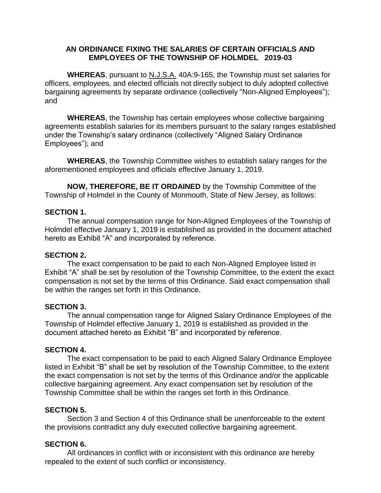# **AN ORDINANCE FIXING THE SALARIES OF CERTAIN OFFICIALS AND EMPLOYEES OF THE TOWNSHIP OF HOLMDEL 2019-03**

**WHEREAS**, pursuant to N.J.S.A. 40A:9-165, the Township must set salaries for officers, employees, and elected officials not directly subject to duly adopted collective bargaining agreements by separate ordinance (collectively "Non-Aligned Employees"); and

**WHEREAS**, the Township has certain employees whose collective bargaining agreements establish salaries for its members pursuant to the salary ranges established under the Township's salary ordinance (collectively "Aligned Salary Ordinance Employees"); and

**WHEREAS**, the Township Committee wishes to establish salary ranges for the aforementioned employees and officials effective January 1, 2019.

**NOW, THEREFORE, BE IT ORDAINED** by the Township Committee of the Township of Holmdel in the County of Monmouth, State of New Jersey, as follows:

### **SECTION 1.**

The annual compensation range for Non-Aligned Employees of the Township of Holmdel effective January 1, 2019 is established as provided in the document attached hereto as Exhibit "A" and incorporated by reference.

# **SECTION 2.**

The exact compensation to be paid to each Non-Aligned Employee listed in Exhibit "A" shall be set by resolution of the Township Committee, to the extent the exact compensation is not set by the terms of this Ordinance. Said exact compensation shall be within the ranges set forth in this Ordinance.

#### **SECTION 3.**

The annual compensation range for Aligned Salary Ordinance Employees of the Township of Holmdel effective January 1, 2019 is established as provided in the document attached hereto as Exhibit "B" and incorporated by reference.

#### **SECTION 4.**

The exact compensation to be paid to each Aligned Salary Ordinance Employee listed in Exhibit "B" shall be set by resolution of the Township Committee, to the extent the exact compensation is not set by the terms of this Ordinance and/or the applicable collective bargaining agreement. Any exact compensation set by resolution of the Township Committee shall be within the ranges set forth in this Ordinance.

#### **SECTION 5.**

Section 3 and Section 4 of this Ordinance shall be unenforceable to the extent the provisions contradict any duly executed collective bargaining agreement.

# **SECTION 6.**

All ordinances in conflict with or inconsistent with this ordinance are hereby repealed to the extent of such conflict or inconsistency.